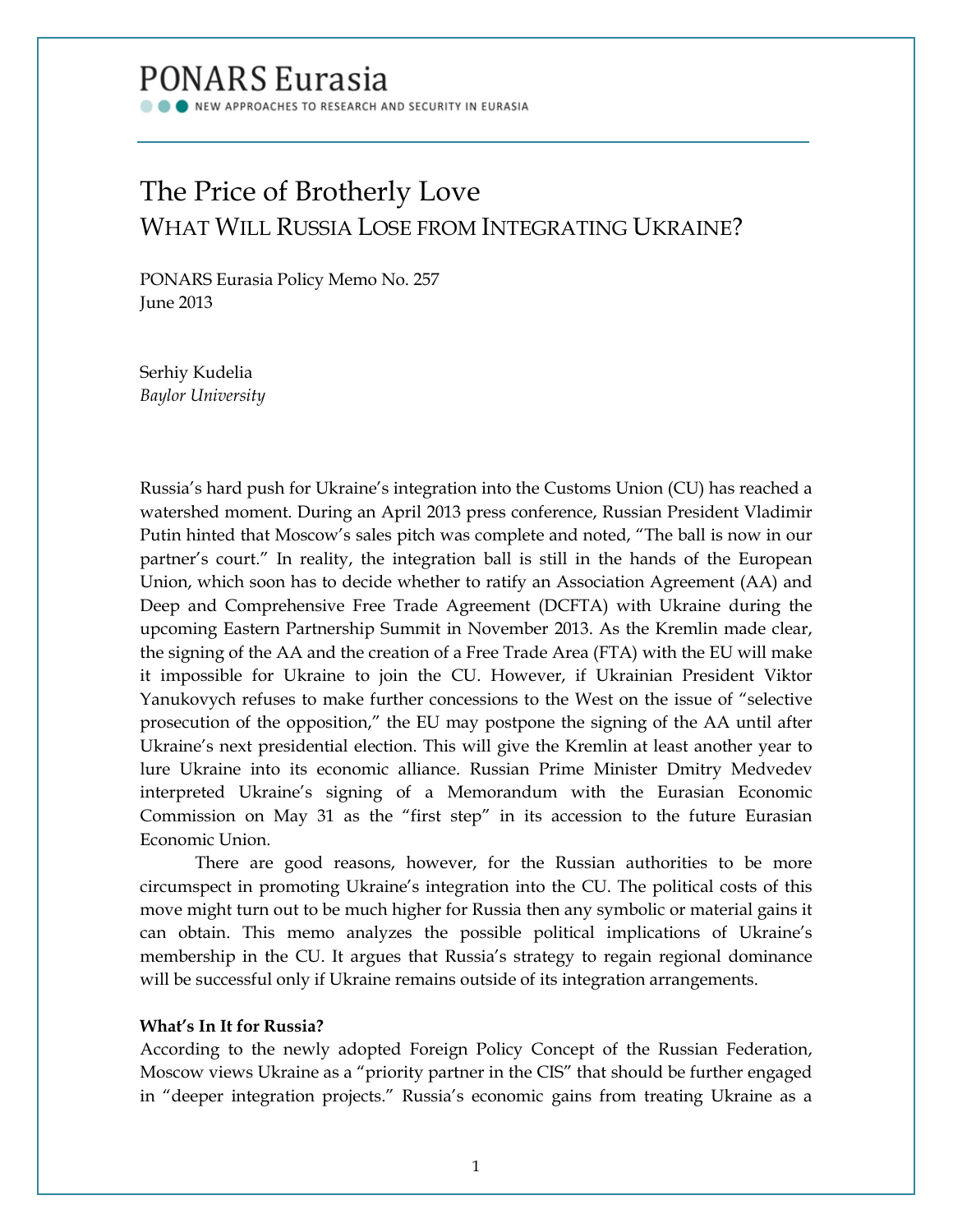# **PONARS Eurasia**

NEW APPROACHES TO RESEARCH AND SECURITY IN EURASIA

# The Price of Brotherly Love WHAT WILL RUSSIA LOSE FROM INTEGRATING UKRAINE?

PONARS Eurasia Policy Memo No. 257 June 2013

Serhiy Kudelia *Baylor University*

Russia's hard push for Ukraine's integration into the Customs Union (CU) has reached a watershed moment. During an April 2013 press conference, Russian President Vladimir Putin hinted that Moscow's sales pitch was complete and noted, "The ball is now in our partner's court." In reality, the integration ball is still in the hands of the European Union, which soon has to decide whether to ratify an Association Agreement (AA) and Deep and Comprehensive Free Trade Agreement (DCFTA) with Ukraine during the upcoming Eastern Partnership Summit in November 2013. As the Kremlin made clear, the signing of the AA and the creation of a Free Trade Area (FTA) with the EU will make it impossible for Ukraine to join the CU. However, if Ukrainian President Viktor Yanukovych refuses to make further concessions to the West on the issue of "selective prosecution of the opposition," the EU may postpone the signing of the AA until after Ukraine's next presidential election. This will give the Kremlin at least another year to lure Ukraine into its economic alliance. Russian Prime Minister Dmitry Medvedev interpreted Ukraine's signing of a Memorandum with the Eurasian Economic Commission on May 31 as the "first step" in its accession to the future Eurasian Economic Union.

There are good reasons, however, for the Russian authorities to be more circumspect in promoting Ukraine's integration into the CU. The political costs of this move might turn out to be much higher for Russia then any symbolic or material gains it can obtain. This memo analyzes the possible political implications of Ukraine's membership in the CU. It argues that Russia's strategy to regain regional dominance will be successful only if Ukraine remains outside of its integration arrangements.

# **What's In It for Russia?**

According to the newly adopted Foreign Policy Concept of the Russian Federation, Moscow views Ukraine as a "priority partner in the CIS" that should be further engaged in "deeper integration projects." Russia's economic gains from treating Ukraine as a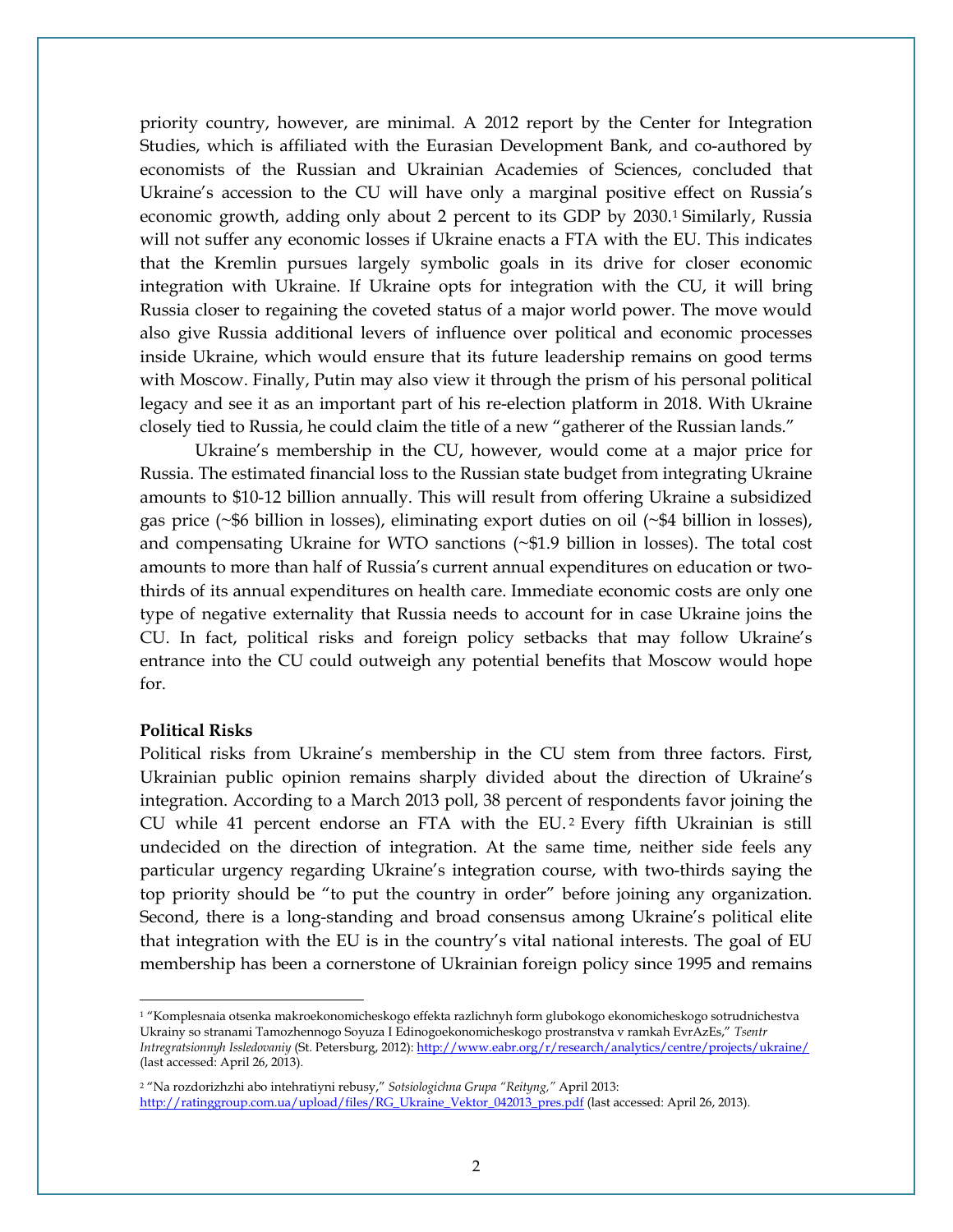priority country, however, are minimal. A 2012 report by the Center for Integration Studies, which is affiliated with the Eurasian Development Bank, and co-authored by economists of the Russian and Ukrainian Academies of Sciences, concluded that Ukraine's accession to the CU will have only a marginal positive effect on Russia's economic growth, adding only about 2 percent to its GDP by 2030.[1](#page-1-0) Similarly, Russia will not suffer any economic losses if Ukraine enacts a FTA with the EU. This indicates that the Kremlin pursues largely symbolic goals in its drive for closer economic integration with Ukraine. If Ukraine opts for integration with the CU, it will bring Russia closer to regaining the coveted status of a major world power. The move would also give Russia additional levers of influence over political and economic processes inside Ukraine, which would ensure that its future leadership remains on good terms with Moscow. Finally, Putin may also view it through the prism of his personal political legacy and see it as an important part of his re-election platform in 2018. With Ukraine closely tied to Russia, he could claim the title of a new "gatherer of the Russian lands."

Ukraine's membership in the CU, however, would come at a major price for Russia. The estimated financial loss to the Russian state budget from integrating Ukraine amounts to \$10-12 billion annually. This will result from offering Ukraine a subsidized gas price (~\$6 billion in losses), eliminating export duties on oil (~\$4 billion in losses), and compensating Ukraine for WTO sanctions (~\$1.9 billion in losses). The total cost amounts to more than half of Russia's current annual expenditures on education or twothirds of its annual expenditures on health care. Immediate economic costs are only one type of negative externality that Russia needs to account for in case Ukraine joins the CU. In fact, political risks and foreign policy setbacks that may follow Ukraine's entrance into the CU could outweigh any potential benefits that Moscow would hope for.

#### **Political Risks**

 $\overline{\phantom{a}}$ 

Political risks from Ukraine's membership in the CU stem from three factors. First, Ukrainian public opinion remains sharply divided about the direction of Ukraine's integration. According to a March 2013 poll, 38 percent of respondents favor joining the CU while 41 percent endorse an FTA with the EU. [2](#page-1-1) Every fifth Ukrainian is still undecided on the direction of integration. At the same time, neither side feels any particular urgency regarding Ukraine's integration course, with two-thirds saying the top priority should be "to put the country in order" before joining any organization. Second, there is a long-standing and broad consensus among Ukraine's political elite that integration with the EU is in the country's vital national interests. The goal of EU membership has been a cornerstone of Ukrainian foreign policy since 1995 and remains

<span id="page-1-0"></span><sup>1</sup> "Komplesnaia otsenka makroekonomicheskogo effekta razlichnyh form glubokogo ekonomicheskogo sotrudnichestva Ukrainy so stranami Tamozhennogo Soyuza I Edinogoekonomicheskogo prostranstva v ramkah EvrAzEs," *Tsentr Intregratsionnyh Issledovaniy* (St. Petersburg, 2012):<http://www.eabr.org/r/research/analytics/centre/projects/ukraine/> (last accessed: April 26, 2013).

<span id="page-1-1"></span><sup>2</sup> "Na rozdorizhzhi abo intehratiyni rebusy," *Sotsiologichna Grupa "Reityng,"* April 2013: [http://ratinggroup.com.ua/upload/files/RG\\_Ukraine\\_Vektor\\_042013\\_pres.pdf](http://ratinggroup.com.ua/upload/files/RG_Ukraine_Vektor_042013_pres.pdf) (last accessed: April 26, 2013).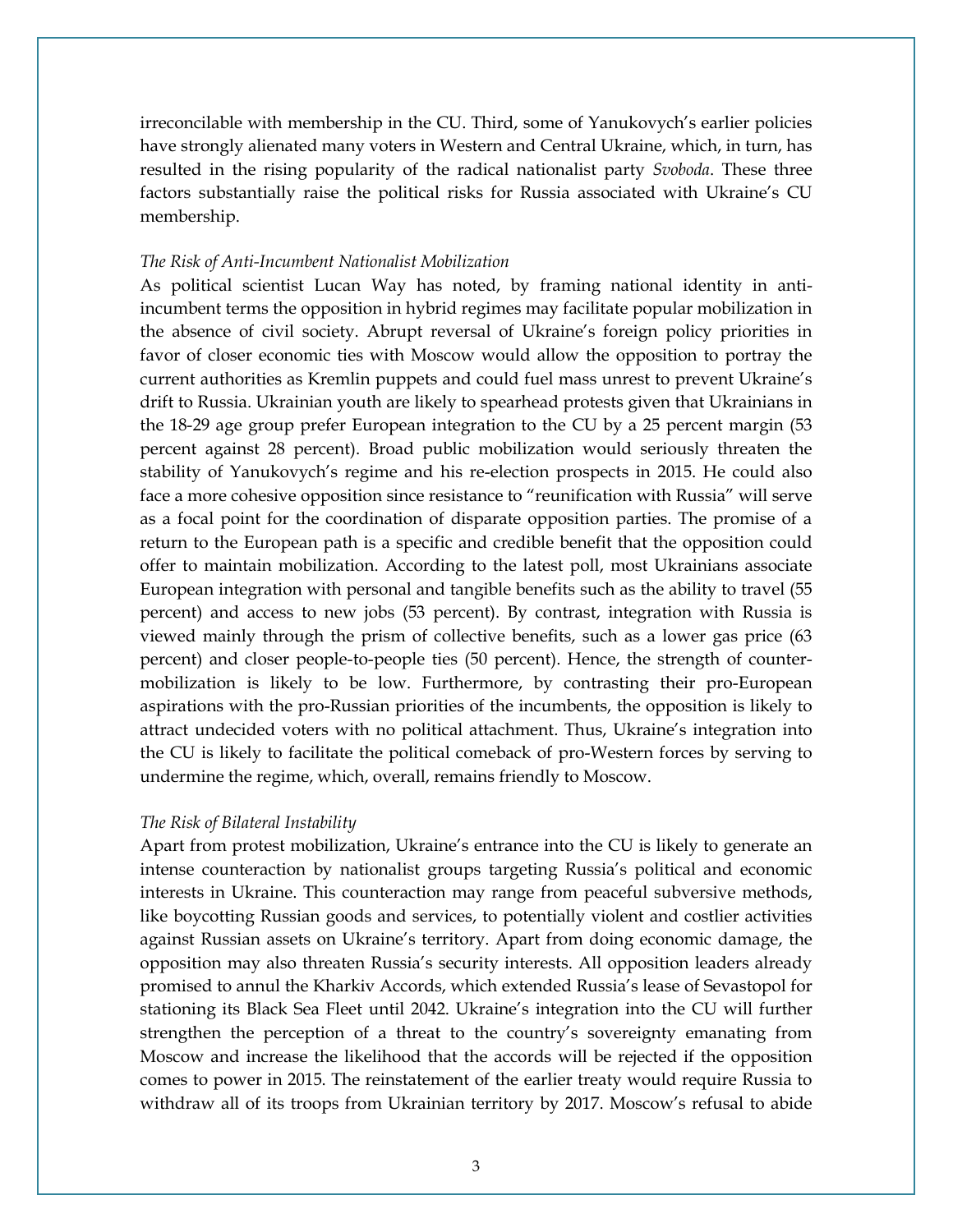irreconcilable with membership in the CU. Third, some of Yanukovych's earlier policies have strongly alienated many voters in Western and Central Ukraine, which, in turn, has resulted in the rising popularity of the radical nationalist party *Svoboda*. These three factors substantially raise the political risks for Russia associated with Ukraine's CU membership.

## *The Risk of Anti-Incumbent Nationalist Mobilization*

As political scientist Lucan Way has noted, by framing national identity in antiincumbent terms the opposition in hybrid regimes may facilitate popular mobilization in the absence of civil society. Abrupt reversal of Ukraine's foreign policy priorities in favor of closer economic ties with Moscow would allow the opposition to portray the current authorities as Kremlin puppets and could fuel mass unrest to prevent Ukraine's drift to Russia. Ukrainian youth are likely to spearhead protests given that Ukrainians in the 18-29 age group prefer European integration to the CU by a 25 percent margin (53 percent against 28 percent). Broad public mobilization would seriously threaten the stability of Yanukovych's regime and his re-election prospects in 2015. He could also face a more cohesive opposition since resistance to "reunification with Russia" will serve as a focal point for the coordination of disparate opposition parties. The promise of a return to the European path is a specific and credible benefit that the opposition could offer to maintain mobilization. According to the latest poll, most Ukrainians associate European integration with personal and tangible benefits such as the ability to travel (55 percent) and access to new jobs (53 percent). By contrast, integration with Russia is viewed mainly through the prism of collective benefits, such as a lower gas price (63 percent) and closer people-to-people ties (50 percent). Hence, the strength of countermobilization is likely to be low. Furthermore, by contrasting their pro-European aspirations with the pro-Russian priorities of the incumbents, the opposition is likely to attract undecided voters with no political attachment. Thus, Ukraine's integration into the CU is likely to facilitate the political comeback of pro-Western forces by serving to undermine the regime, which, overall, remains friendly to Moscow.

# *The Risk of Bilateral Instability*

Apart from protest mobilization, Ukraine's entrance into the CU is likely to generate an intense counteraction by nationalist groups targeting Russia's political and economic interests in Ukraine. This counteraction may range from peaceful subversive methods, like boycotting Russian goods and services, to potentially violent and costlier activities against Russian assets on Ukraine's territory. Apart from doing economic damage, the opposition may also threaten Russia's security interests. All opposition leaders already promised to annul the Kharkiv Accords, which extended Russia's lease of Sevastopol for stationing its Black Sea Fleet until 2042. Ukraine's integration into the CU will further strengthen the perception of a threat to the country's sovereignty emanating from Moscow and increase the likelihood that the accords will be rejected if the opposition comes to power in 2015. The reinstatement of the earlier treaty would require Russia to withdraw all of its troops from Ukrainian territory by 2017. Moscow's refusal to abide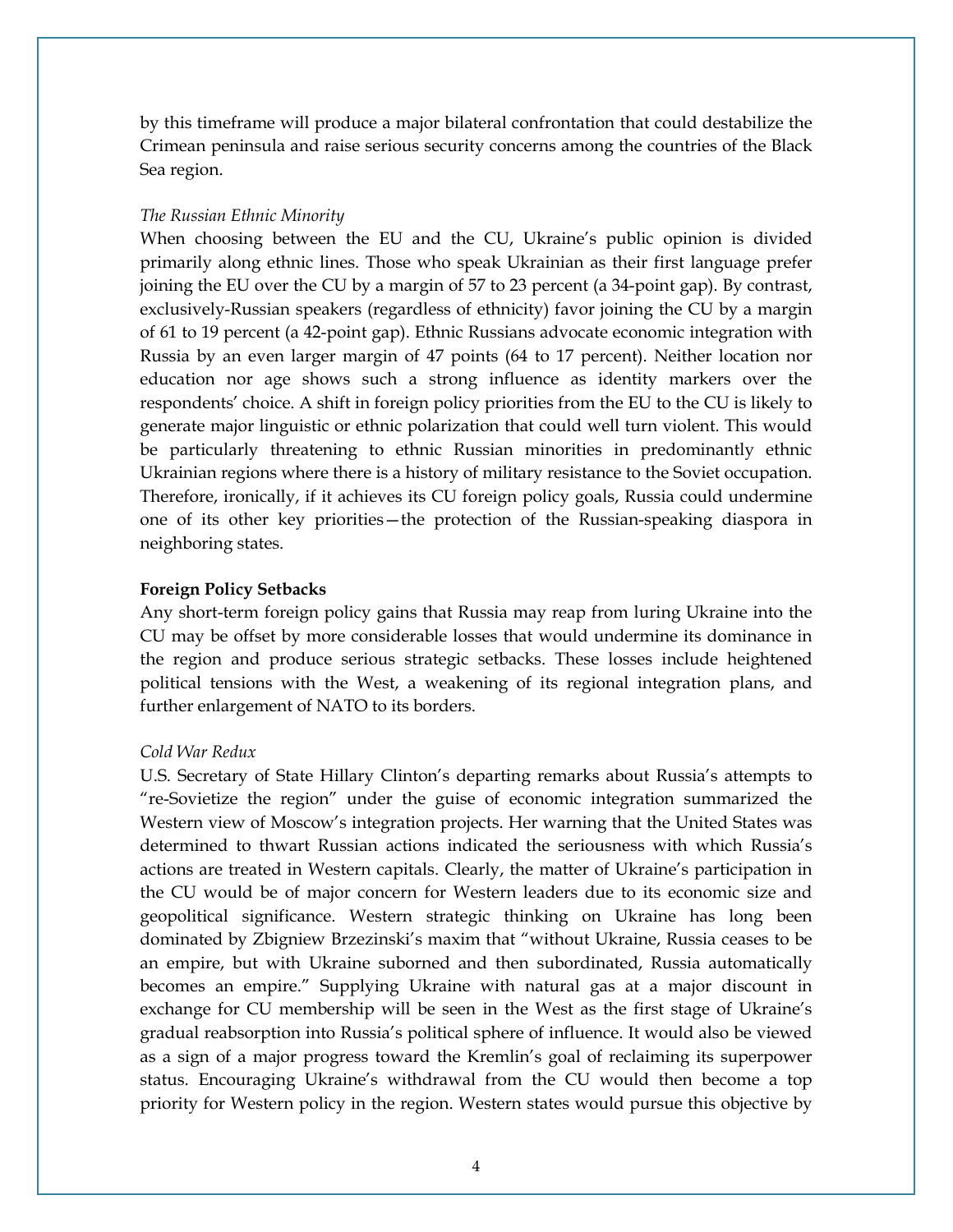by this timeframe will produce a major bilateral confrontation that could destabilize the Crimean peninsula and raise serious security concerns among the countries of the Black Sea region.

#### *The Russian Ethnic Minority*

When choosing between the EU and the CU, Ukraine's public opinion is divided primarily along ethnic lines. Those who speak Ukrainian as their first language prefer joining the EU over the CU by a margin of 57 to 23 percent (a 34-point gap). By contrast, exclusively-Russian speakers (regardless of ethnicity) favor joining the CU by a margin of 61 to 19 percent (a 42-point gap). Ethnic Russians advocate economic integration with Russia by an even larger margin of 47 points (64 to 17 percent). Neither location nor education nor age shows such a strong influence as identity markers over the respondents' choice. A shift in foreign policy priorities from the EU to the CU is likely to generate major linguistic or ethnic polarization that could well turn violent. This would be particularly threatening to ethnic Russian minorities in predominantly ethnic Ukrainian regions where there is a history of military resistance to the Soviet occupation. Therefore, ironically, if it achieves its CU foreign policy goals, Russia could undermine one of its other key priorities—the protection of the Russian-speaking diaspora in neighboring states.

#### **Foreign Policy Setbacks**

Any short-term foreign policy gains that Russia may reap from luring Ukraine into the CU may be offset by more considerable losses that would undermine its dominance in the region and produce serious strategic setbacks. These losses include heightened political tensions with the West, a weakening of its regional integration plans, and further enlargement of NATO to its borders.

### *Cold War Redux*

U.S. Secretary of State Hillary Clinton's departing remarks about Russia's attempts to "re-Sovietize the region" under the guise of economic integration summarized the Western view of Moscow's integration projects. Her warning that the United States was determined to thwart Russian actions indicated the seriousness with which Russia's actions are treated in Western capitals. Clearly, the matter of Ukraine's participation in the CU would be of major concern for Western leaders due to its economic size and geopolitical significance. Western strategic thinking on Ukraine has long been dominated by Zbigniew Brzezinski's maxim that "without Ukraine, Russia ceases to be an empire, but with Ukraine suborned and then subordinated, Russia automatically becomes an empire." Supplying Ukraine with natural gas at a major discount in exchange for CU membership will be seen in the West as the first stage of Ukraine's gradual reabsorption into Russia's political sphere of influence. It would also be viewed as a sign of a major progress toward the Kremlin's goal of reclaiming its superpower status. Encouraging Ukraine's withdrawal from the CU would then become a top priority for Western policy in the region. Western states would pursue this objective by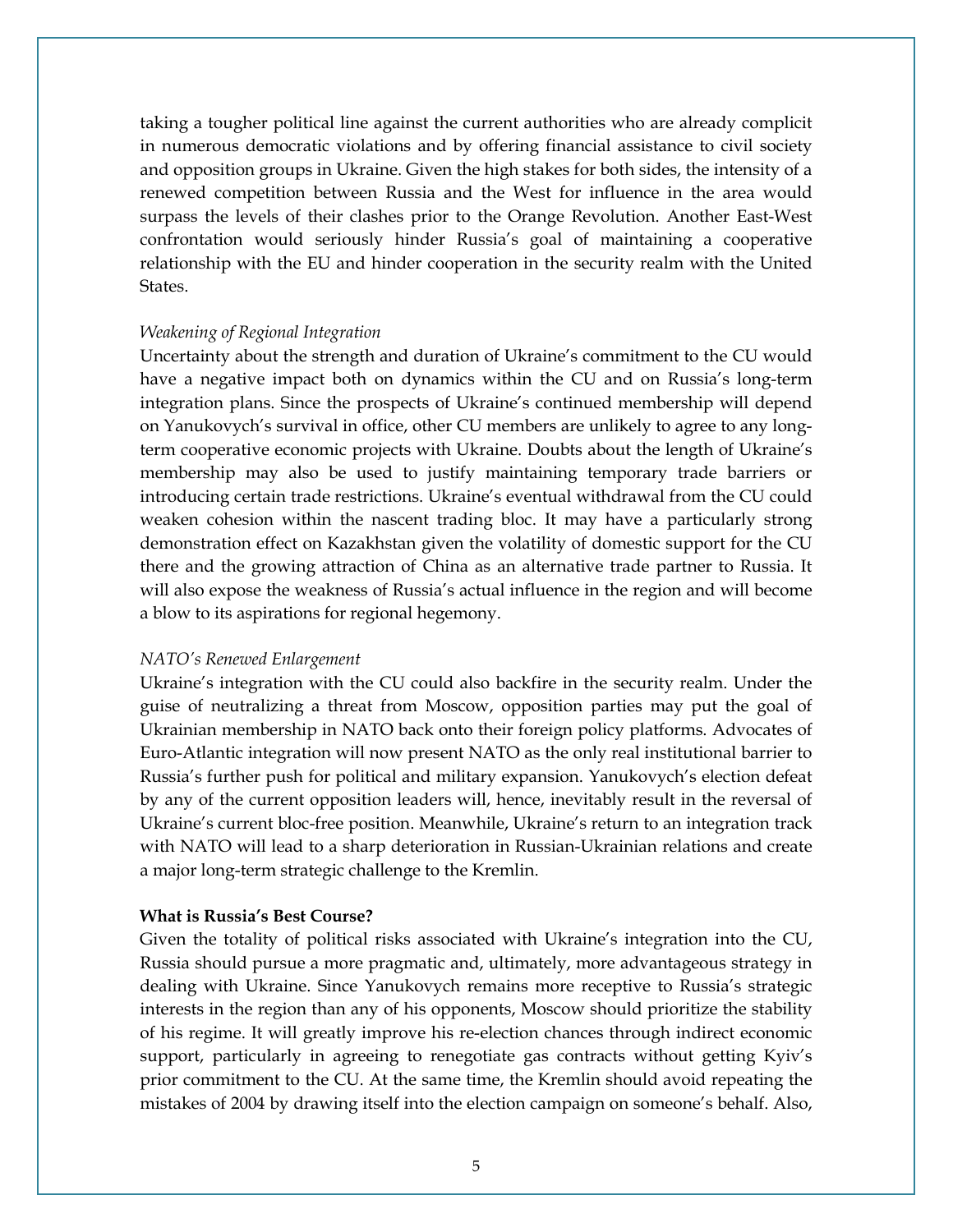taking a tougher political line against the current authorities who are already complicit in numerous democratic violations and by offering financial assistance to civil society and opposition groups in Ukraine. Given the high stakes for both sides, the intensity of a renewed competition between Russia and the West for influence in the area would surpass the levels of their clashes prior to the Orange Revolution. Another East-West confrontation would seriously hinder Russia's goal of maintaining a cooperative relationship with the EU and hinder cooperation in the security realm with the United States.

### *Weakening of Regional Integration*

Uncertainty about the strength and duration of Ukraine's commitment to the CU would have a negative impact both on dynamics within the CU and on Russia's long-term integration plans. Since the prospects of Ukraine's continued membership will depend on Yanukovych's survival in office, other CU members are unlikely to agree to any longterm cooperative economic projects with Ukraine. Doubts about the length of Ukraine's membership may also be used to justify maintaining temporary trade barriers or introducing certain trade restrictions. Ukraine's eventual withdrawal from the CU could weaken cohesion within the nascent trading bloc. It may have a particularly strong demonstration effect on Kazakhstan given the volatility of domestic support for the CU there and the growing attraction of China as an alternative trade partner to Russia. It will also expose the weakness of Russia's actual influence in the region and will become a blow to its aspirations for regional hegemony.

#### *NATO's Renewed Enlargement*

Ukraine's integration with the CU could also backfire in the security realm. Under the guise of neutralizing a threat from Moscow, opposition parties may put the goal of Ukrainian membership in NATO back onto their foreign policy platforms. Advocates of Euro-Atlantic integration will now present NATO as the only real institutional barrier to Russia's further push for political and military expansion. Yanukovych's election defeat by any of the current opposition leaders will, hence, inevitably result in the reversal of Ukraine's current bloc-free position. Meanwhile, Ukraine's return to an integration track with NATO will lead to a sharp deterioration in Russian-Ukrainian relations and create a major long-term strategic challenge to the Kremlin.

#### **What is Russia's Best Course?**

Given the totality of political risks associated with Ukraine's integration into the CU, Russia should pursue a more pragmatic and, ultimately, more advantageous strategy in dealing with Ukraine. Since Yanukovych remains more receptive to Russia's strategic interests in the region than any of his opponents, Moscow should prioritize the stability of his regime. It will greatly improve his re-election chances through indirect economic support, particularly in agreeing to renegotiate gas contracts without getting Kyiv's prior commitment to the CU. At the same time, the Kremlin should avoid repeating the mistakes of 2004 by drawing itself into the election campaign on someone's behalf. Also,